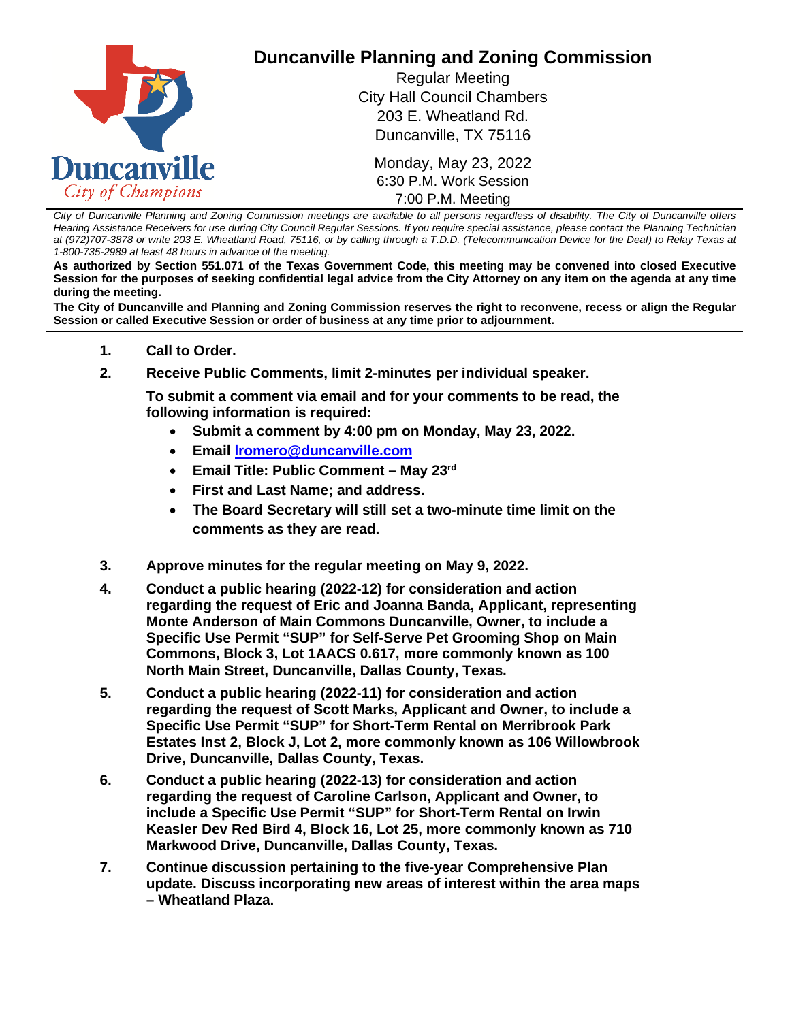

*City of Duncanville Planning and Zoning Commission meetings are available to all persons regardless of disability. The City of Duncanville offers Hearing Assistance Receivers for use during City Council Regular Sessions. If you require special assistance, please contact the Planning Technician at (972)707-3878 or write 203 E. Wheatland Road, 75116, or by calling through a T.D.D. (Telecommunication Device for the Deaf) to Relay Texas at 1-800-735-2989 at least 48 hours in advance of the meeting.* 

**As authorized by Section 551.071 of the Texas Government Code, this meeting may be convened into closed Executive Session for the purposes of seeking confidential legal advice from the City Attorney on any item on the agenda at any time during the meeting.**

**The City of Duncanville and Planning and Zoning Commission reserves the right to reconvene, recess or align the Regular Session or called Executive Session or order of business at any time prior to adjournment.**

- **1. Call to Order.**
- **2. Receive Public Comments, limit 2-minutes per individual speaker.**

**To submit a comment via email and for your comments to be read, the following information is required:**

- **Submit a comment by 4:00 pm on Monday, May 23, 2022.**
- **Email [lromero@duncanville.com](mailto:lromero@duncanville.com)**
- **Email Title: Public Comment – May 23rd**
- **First and Last Name; and address.**
- **The Board Secretary will still set a two-minute time limit on the comments as they are read.**
- **3. Approve minutes for the regular meeting on May 9, 2022.**
- **4. Conduct a public hearing (2022-12) for consideration and action regarding the request of Eric and Joanna Banda, Applicant, representing Monte Anderson of Main Commons Duncanville, Owner, to include a Specific Use Permit "SUP" for Self-Serve Pet Grooming Shop on Main Commons, Block 3, Lot 1AACS 0.617, more commonly known as 100 North Main Street, Duncanville, Dallas County, Texas.**
- **5. Conduct a public hearing (2022-11) for consideration and action regarding the request of Scott Marks, Applicant and Owner, to include a Specific Use Permit "SUP" for Short-Term Rental on Merribrook Park Estates Inst 2, Block J, Lot 2, more commonly known as 106 Willowbrook Drive, Duncanville, Dallas County, Texas.**
- **6. Conduct a public hearing (2022-13) for consideration and action regarding the request of Caroline Carlson, Applicant and Owner, to include a Specific Use Permit "SUP" for Short-Term Rental on Irwin Keasler Dev Red Bird 4, Block 16, Lot 25, more commonly known as 710 Markwood Drive, Duncanville, Dallas County, Texas.**
- **7. Continue discussion pertaining to the five-year Comprehensive Plan update. Discuss incorporating new areas of interest within the area maps – Wheatland Plaza.**